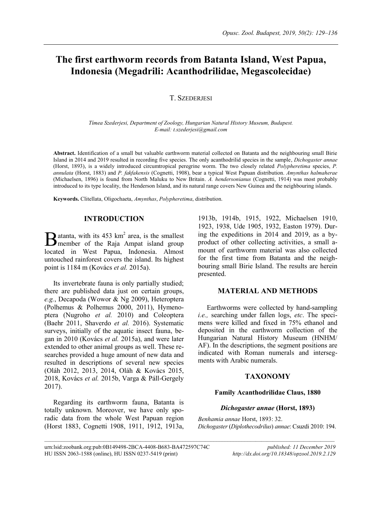# **The first earthworm records from Batanta Island, West Papua, Indonesia (Megadrili: Acanthodrilidae, Megascolecidae)**

# T. SZEDERJESI

*Tímea Szederjesi, Department of Zoology, Hungarian Natural History Museum, Budapest. E-mail[: t.szederjesi@gmail.com](mailto:t.szederjesi@gmail.com)*

**Abstract.** Identification of a small but valuable earthworm material collected on Batanta and the neighbouring small Birie Island in 2014 and 2019 resulted in recording five species. The only acanthodrilid species in the sample, *Dichogaster annae* (Horst, 1893), is a widely introduced circumtropical peregrine worm. The two closely related *Polypheretima* species, *P. annulata* (Horst, 1883) and *P. fakfakensis* (Cognetti, 1908), bear a typical West Papuan distribution. *Amynthas halmaherae* (Michaelsen, 1896) is found from North Maluku to New Britain. *A. hendersonianus* (Cognetti, 1914) was most probably introduced to its type locality, the Henderson Island, and its natural range covers New Guinea and the neighbouring islands.

 $\mathcal{L}_\text{max}$ 

**Keywords.** Clitellata, Oligochaeta, *Amynthas*, *Polypheretima*, distribution.

# **INTRODUCTION**

atanta, with its  $453 \text{ km}^2$  area, is the smallest **B** atanta, with its 453 km<sup>2</sup> area, is the smallest member of the Raja Ampat island group located in West Papua, Indonesia. Almost untouched rainforest covers the island. Its highest point is 1184 m (Kovács *et al.* 2015a).

Its invertebrate fauna is only partially studied; there are published data just on certain groups, *e.g.*, Decapoda (Wowor & Ng 2009), Heteroptera (Polhemus & Polhemus 2000, 2011), Hymenoptera (Nugroho *et al.* 2010) and Coleoptera (Baehr 2011, Shaverdo *et al.* 2016). Systematic surveys, initially of the aquatic insect fauna, began in 2010 (Kovács *et al.* 2015a), and were later extended to other animal groups as well. These researches provided a huge amount of new data and resulted in descriptions of several new species (Oláh 2012, 2013, 2014, Oláh & Kovács 2015, 2018, Kovács *et al.* 2015b, Varga & Páll-Gergely 2017).

Regarding its earthworm fauna, Batanta is totally unknown. Moreover, we have only sporadic data from the whole West Papuan region (Horst 1883, Cognetti 1908, 1911, 1912, 1913a,

1913b, 1914b, 1915, 1922, Michaelsen 1910, 1923, 1938, Ude 1905, 1932, Easton 1979). During the expeditions in 2014 and 2019, as a byproduct of other collecting activities, a small amount of earthworm material was also collected for the first time from Batanta and the neighbouring small Birie Island. The results are herein presented.

# **MATERIAL AND METHODS**

Earthworms were collected by hand-sampling *i.e.,* searching under fallen logs, *etc*. The specimens were killed and fixed in 75% ethanol and deposited in the earthworm collection of the Hungarian Natural History Museum (HNHM/ AF). In the descriptions, the segment positions are indicated with Roman numerals and intersegments with Arabic numerals.

# **TAXONOMY**

#### **Family Acanthodrilidae Claus, 1880**

## *Dichogaster annae* **(Horst, 1893)**

*Benhamia annae* Horst, 1893: 32. *Dichogaster* (*Diplothecodrilus*) *annae*: Csuzdi 2010: 194.

urn:lsid:zoobank.org:pub:0B149498-2BCA-4408-B683-BA472597C74C *published: 11 December 2019* HU ISSN 2063-1588 (online), HU ISSN 0237-5419 (print) *http://dx.doi.org/10.18348/opzool.2019.2.129*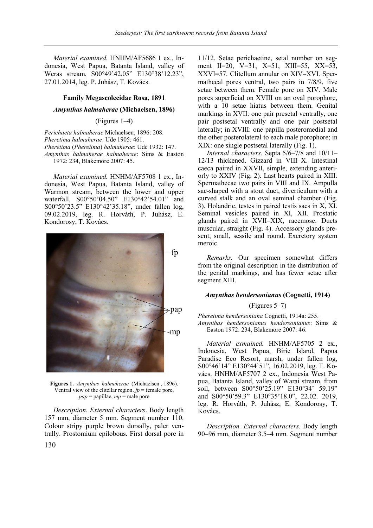*Material examined.* HNHM/AF5686 1 ex., Indonesia, West Papua, Batanta Island, valley of Weras stream, S00°49'42.05" E130°38'12.23", 27.01.2014, leg. P. Juhász, T. Kovács.

#### **Family Megascolecidae Rosa, 1891**

# *Amynthas halmaherae* **(Michaelsen, 1896)**

## (Figures 1–4)

*Perichaeta halmaherae* Michaelsen, 1896: 208. *Pheretima halmaherae*: Ude 1905: 461. *Pheretima* (*Pheretima*) *halmaherae*: Ude 1932: 147. *Amynthas halmaherae halmaherae*: Sims & Easton 1972: 234, Blakemore 2007: 45.

*Material examined.* HNHM/AF5708 1 ex., Indonesia, West Papua, Batanta Island, valley of Warmon stream, between the lower and upper waterfall, S00°50'04.50" E130°42'54.01" and S00°50'23.5" E130°42'35.18", under fallen log, 09.02.2019, leg. R. Horváth, P. Juhász, E. Kondorosy, T. Kovács.



**Figures 1.** *Amynthas halmaherae* (Michaelsen , 1896). Ventral view of the clitellar region.  $fp$  = female pore,  $pap =$  papillae,  $mp =$  male pore

*Description. External characters*. Body length 157 mm, diameter 5 mm. Segment number 110. Colour stripy purple brown dorsally, paler ventrally. Prostomium epilobous. First dorsal pore in 11/12. Setae perichaetine, setal number on segment II=20, V=31, X=51, XIII=55, XX=53, XXVI=57. Clitellum annular on XIV–XVI. Spermathecal pores ventral, two pairs in 7/8/9, five setae between them. Female pore on XIV. Male pores superficial on XVIII on an oval porophore, with a 10 setae hiatus between them. Genital markings in XVII: one pair presetal ventrally, one pair postsetal ventrally and one pair postsetal laterally; in XVIII: one papilla posteromedial and the other posterolateral to each male porophore; in XIX: one single postsetal laterally (Fig. 1).

*Internal characters.* Septa 5/6–7/8 and 10/11– 12/13 thickened. Gizzard in VIII–X. Intestinal caeca paired in XXVII, simple, extending anteriorly to XXIV (Fig. 2). Last hearts paired in XIII. Spermathecae two pairs in VIII and IX. Ampulla sac-shaped with a stout duct, diverticulum with a curved stalk and an oval seminal chamber (Fig. 3). Holandric, testes in paired testis sacs in X, XI. Seminal vesicles paired in XI, XII. Prostatic glands paired in XVII–XIX, racemose. Ducts muscular, straight (Fig. 4). Accessory glands present, small, sessile and round. Excretory system meroic.

*Remarks.* Our specimen somewhat differs from the original description in the distribution of the genital markings, and has fewer setae after segment XIII.

#### *Amynthas hendersonianus* **(Cognetti, 1914)**

#### (Figures 5–7)

*Pheretima hendersoniana* Cognetti, 1914a: 255. *Amynthas hendersonianus hendersonianus*: Sims & Easton 1972: 234, Blakemore 2007: 46.

*Material exmained.* HNHM/AF5705 2 ex., Indonesia, West Papua, Birie Island, Papua Paradise Eco Resort, marsh, under fallen log, S00°46'14" E130°44'51", 16.02.2019, leg. T. Kovács. HNHM/AF5707 2 ex., Indonesia West Papua, Batanta Island, valley of Warai stream, from soil, between S00°50'25.19" E130°34' 59.19" and S00°50'59.3" E130°35'18.0", 22.02. 2019, leg. R. Horváth, P. Juhász, E. Kondorosy, T. Kovács.

*Description. External characters.* Body length 90–96 mm, diameter 3.5–4 mm. Segment number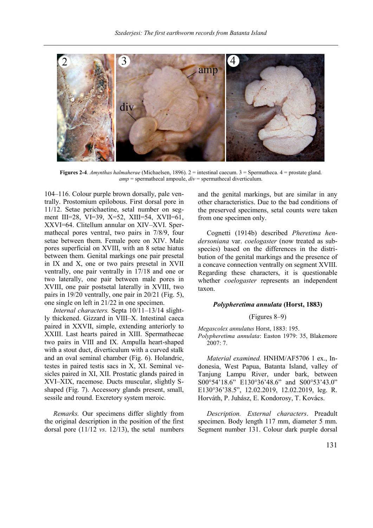

**Figures 2-4**. *Amynthas halmaherae* (Michaelsen, 1896). 2 = intestinal caecum. 3 = Spermatheca. 4 = prostate gland. *amp* = spermathecal ampoule, *div* = spermathecal diverticulum.

104–116. Colour purple brown dorsally, pale ventrally. Prostomium epilobous. First dorsal pore in 11/12. Setae perichaetine, setal number on segment III=28, VI=39, X=52, XIII=54, XVII=61, XXVI=64. Clitellum annular on XIV–XVI. Spermathecal pores ventral, two pairs in 7/8/9, four setae between them. Female pore on XIV. Male pores superficial on XVIII, with an 8 setae hiatus between them. Genital markings one pair presetal in IX and X, one or two pairs presetal in XVII ventrally, one pair ventrally in 17/18 and one or two laterally, one pair between male pores in XVIII, one pair postsetal laterally in XVIII, two pairs in 19/20 ventrally, one pair in 20/21 (Fig. 5), one single on left in 21/22 in one specimen.

*Internal characters.* Septa 10/11–13/14 slightly thickened. Gizzard in VIII–X. Intestinal caeca paired in XXVII, simple, extending anteriorly to XXIII. Last hearts paired in XIII. Spermathecae two pairs in VIII and IX. Ampulla heart-shaped with a stout duct, diverticulum with a curved stalk and an oval seminal chamber (Fig. 6). Holandric, testes in paired testis sacs in X, XI. Seminal vesicles paired in XI, XII. Prostatic glands paired in XVI–XIX, racemose. Ducts muscular, slightly Sshaped (Fig. 7). Accessory glands present, small, sessile and round. Excretory system meroic.

*Remarks.* Our specimens differ slightly from the original description in the position of the first dorsal pore (11/12 *vs*. 12/13), the setal numbers

and the genital markings, but are similar in any other characteristics. Due to the bad conditions of the preserved specimens, setal counts were taken from one specimen only.

Cognetti (1914b) described *Pheretima hendersoniana* var. *coelogaster* (now treated as subspecies) based on the differences in the distribution of the genital markings and the presence of a concave connection ventrally on segment XVIII. Regarding these characters, it is questionable whether *coelogaster* represents an independent taxon.

# *Polypheretima annulata* **(Horst, 1883)**

#### (Figures 8–9)

*Megascolex annulatus* Horst, 1883: 195. *Polypheretima annulata*: Easton 1979: 35, Blakemore 2007: 7.

*Material examined.* HNHM/AF5706 1 ex., Indonesia, West Papua, Batanta Island, valley of Tanjung Lampu River, under bark, between S00°54'18.6" E130°36'48.6" and S00°53'43.0" E130°36'38.5", 12.02.2019, 12.02.2019, leg. R. Horváth, P. Juhász, E. Kondorosy, T. Kovács.

*Description. External characters*. Preadult specimen. Body length 117 mm, diameter 5 mm. Segment number 131. Colour dark purple dorsal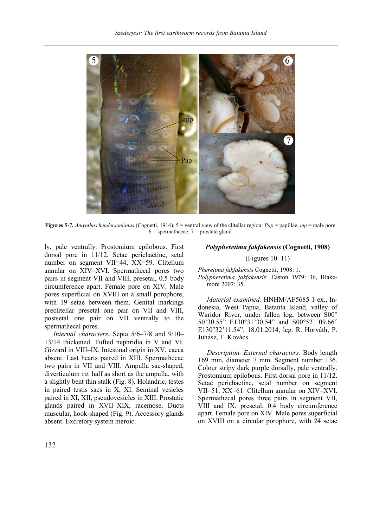

**Figures 5-7.** *Amynthas hendersonianus* (Cognetti, 1914). 5 = ventral view of the clitellar region. *Pap* = papillae, *mp* = male pore.  $6$  = spermathecae,  $7$  = prostate gland.

ly, pale ventrally. Prostomium epilobous. First dorsal pore in 11/12. Setae perichaetine, setal number on segment VII=44, XX=59. Clitellum annular on XIV–XVI. Spermathecal pores two pairs in segment VII and VIII, presetal, 0.5 body circumference apart. Female pore on XIV. Male pores superficial on XVIII on a small porophore, with 19 setae between them. Genital markings preclitellar presetal one pair on VII and VIII, postsetal one pair on VII ventrally to the spermathecal pores.

*Internal characters.* Septa 5/6–7/8 and 9/10– 13/14 thickened. Tufted nephridia in V and VI. Gizzard in VIII–IX. Intestinal origin in XV, caeca absent. Last hearts paired in XIII. Spermathecae two pairs in VII and VIII. Ampulla sac-shaped, diverticulum *ca*. half as short as the ampulla, with a slightly bent thin stalk (Fig. 8). Holandric, testes in paired testis sacs in X, XI. Seminal vesicles paired in XI, XII, pseudovesicles in XIII. Prostatic glands paired in XVII–XIX, racemose. Ducts muscular, hook-shaped (Fig. 9). Accessory glands absent. Excretory system meroic.

# *Polypheretima fakfakensis* **(Cognetti, 1908)**

#### (Figures 10–11)

*Pheretima fakfakensis* Cognetti, 1908: 1. *Polypheretima fakfakensis*: Easton 1979: 36, Blakemore 2007: 35.

*Material examined.* HNHM/AF5685 1 ex., Indonesia, West Papua, Batanta Island, valley of Waridor River, under fallen log, between S00° 50'30.55" E130°31'30.54" and S00°52' 09.66" E130°32'11.54", 18.01.2014, leg. R. Horváth, P. Juhász, T. Kovács.

*Description. External characters*. Body length 169 mm, diameter 7 mm. Segment number 136. Colour stripy dark purple dorsally, pale ventrally. Prostomium epilobous. First dorsal pore in 11/12. Setae perichaetine, setal number on segment VII=51, XX=61. Clitellum annular on XIV–XVI. Spermathecal pores three pairs in segment VII, VIII and IX, presetal, 0.4 body circumference apart. Female pore on XIV. Male pores superficial on XVIII on a circular porophore, with 24 setae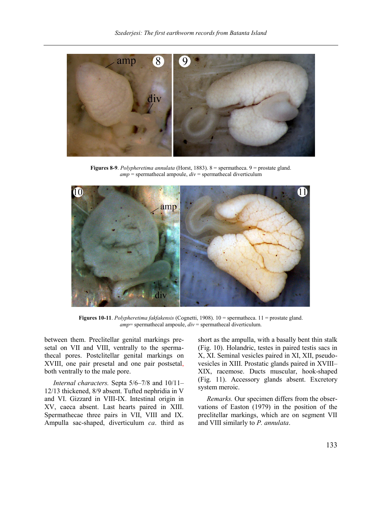

**Figures 8-9**. *Polypheretima annulata* (Horst, 1883). 8 = spermatheca. 9 = prostate gland. *amp* = spermathecal ampoule, *div* = spermathecal diverticulum



**Figures 10-11**. *Polypheretima fakfakensis* (Cognetti, 1908). 10 = spermatheca. 11 = prostate gland. *amp*= spermathecal ampoule, *div* = spermathecal diverticulum.

between them. Preclitellar genital markings presetal on VII and VIII, ventrally to the spermathecal pores. Postclitellar genital markings on XVIII, one pair presetal and one pair postsetal, both ventrally to the male pore.

*Internal characters.* Septa 5/6–7/8 and 10/11– 12/13 thickened, 8/9 absent. Tufted nephridia in V and VI. Gizzard in VIII-IX. Intestinal origin in XV, caeca absent. Last hearts paired in XIII. Spermathecae three pairs in VII, VIII and IX. Ampulla sac-shaped, diverticulum *ca*. third as short as the ampulla, with a basally bent thin stalk (Fig. 10). Holandric, testes in paired testis sacs in X, XI. Seminal vesicles paired in XI, XII, pseudovesicles in XIII. Prostatic glands paired in XVIII– XIX, racemose. Ducts muscular, hook-shaped (Fig. 11). Accessory glands absent. Excretory system meroic.

*Remarks.* Our specimen differs from the observations of Easton (1979) in the position of the preclitellar markings, which are on segment VII and VIII similarly to *P. annulata*.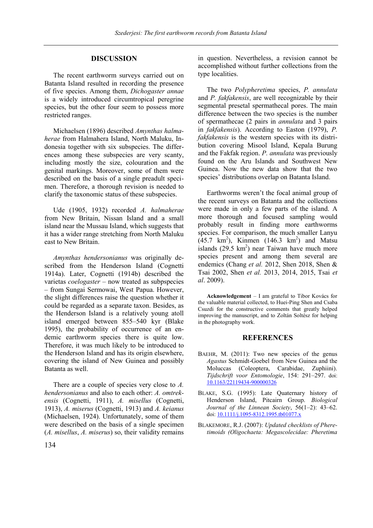# **DISCUSSION**

The recent earthworm surveys carried out on Batanta Island resulted in recording the presence of five species. Among them, *Dichogaster annae* is a widely introduced circumtropical peregrine species, but the other four seem to possess more restricted ranges.

Michaelsen (1896) described *Amynthas halmaherae* from Halmahera Island, North Maluku, Indonesia together with six subspecies. The differences among these subspecies are very scanty, including mostly the size, colouration and the genital markings. Moreover, some of them were described on the basis of a single preadult specimen. Therefore, a thorough revision is needed to clarify the taxonomic status of these subspecies.

Ude (1905, 1932) recorded *A. halmaherae* from New Britain, Nissan Island and a small island near the Mussau Island, which suggests that it has a wider range stretching from North Maluku east to New Britain.

*Amynthas hendersonianus* was originally described from the Henderson Island (Cognetti 1914a). Later, Cognetti (1914b) described the varietas *coelogaster* – now treated as subpspecies – from Sungai Sermowai, West Papua. However, the slight differences raise the question whether it could be regarded as a separate taxon. Besides, as the Henderson Island is a relatively young atoll island emerged between 855–540 kyr (Blake 1995), the probability of occurrence of an endemic earthworm species there is quite low. Therefore, it was much likely to be introduced to the Henderson Island and has its origin elsewhere, covering the island of New Guinea and possibly Batanta as well.

There are a couple of species very close to *A. hendersonianus* and also to each other: *A. omtrekensis* (Cognetti, 1911), *A. misellus* (Cognetti, 1913), *A. miserus* (Cognetti, 1913) and *A. keianus* (Michaelsen, 1924). Unfortunately, some of them were described on the basis of a single specimen (*A. misellus*, *A. miserus*) so, their validity remains

in question. Nevertheless, a revision cannot be accomplished without further collections from the type localities.

The two *Polypheretima* species, *P. annulata* and *P. fakfakensis*, are well recognizable by their segmental presetal spermathecal pores. The main difference between the two species is the number of spermathecae (2 pairs in *annulata* and 3 pairs in *fakfakensis*). According to Easton (1979), *P. fakfakensis* is the western species with its distribution covering Misool Island, Kepala Burung and the Fakfak region. *P. annulata* was previously found on the Aru Islands and Southwest New Guinea. Now the new data show that the two species' distributions overlap on Batanta Island.

Earthworms weren't the focal animal group of the recent surveys on Batanta and the collections were made in only a few parts of the island. A more thorough and focused sampling would probably result in finding more earthworms species. For comparison, the much smaller Lanyu  $(45.7 \text{ km}^2)$ , Kinmen  $(146.3 \text{ km}^2)$  and Matsu islands  $(29.5 \text{ km}^2)$  near Taiwan have much more species present and among them several are endemics (Chang *et al.* 2012, Shen 2018, Shen & Tsai 2002, Shen *et al.* 2013, 2014, 2015, Tsai *et al*. 2009).

**Acknowledgement** – I am grateful to Tibor Kovács for the valuable material collected, to Huei-Ping Shen and Csaba Csuzdi for the constructive comments that greatly helped improving the manuscript, and to Zoltán Soltész for helping in the photography work.

#### **REFERENCES**

- BAEHR, M. (2011): Two new species of the genus *Agastus* Schmidt-Goebel from New Guinea and the Moluccas (Coleoptera, Carabidae, Zuphiini). *Tijdschrift voor Entomologie*, 154: 291–297. doi: [10.1163/22119434-900000326](http://dx.doi.org/10.1163/22119434-900000326)
- BLAKE, S.G. (1995): Late Quaternary history of Henderson Island, Pitcairn Group. *Biological Journal of the Linnean Society*, 56(1–2): 43–62. doi[: 10.1111/j.1095-8312.1995.tb01077.x](https://doi.org/10.1111/j.1095-8312.1995.tb01077.x)
- BLAKEMORE, R.J. (2007): *Updated checklists of Pheretimoids (Oligochaeta: Megascolecidae: Pheretima*

134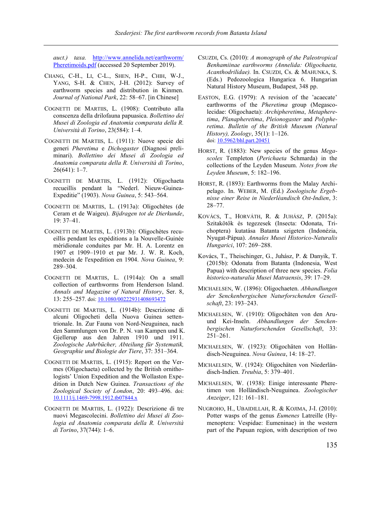*auct.) taxa.* [http://www.annelida.net/earthworm/](http://www.annelida.net/earthworm/%20Pheretimoids.pdf)  [Pheretimoids.pdf](http://www.annelida.net/earthworm/%20Pheretimoids.pdf) (accessed 20 September 2019).

- CHANG, C-H., LI, C-L., SHEN, H-P., CHIH, W-J., YANG, S-H. & CHEN, J-H. (2012): Survey of earthworm species and distribution in Kinmen. *Journal of National Park*, 22: 58–67. [in Chinese]
- COGNETTI DE MARTIIS, L. (1908): Contributo alla conscenza della drilofauna papuasica. *Bollettino dei Musei di Zoologia ed Anatomia comparata della R. Università di Torino*, 23(584): 1–4.
- COGNETTI DE MARTIIS, L. (1911): Nuove specie dei generi *Pheretima* e *Dichogaster* (Diagnosi preliminari). *Bollettino dei Musei di Zoologia ed Anatomia comparata della R. Università di Torino*, 26(641): 1–7.
- COGNETTI DE MARTIIS, L. (1912): Oligochaeta recueillis pendant la "Nederl. Nieuw-Guinea-Expeditie" (1903). *Nova Guinea*, 5: 543–564.
- COGNETTI DE MARTIIS, L. (1913a): Oligochètes (de Ceram et de Waigeu). *Bijdragen tot de Dierkunde*, 19: 37–41.
- COGNETTI DE MARTIIS, L. (1913b): Oligochètes recueillis pendant les expéditions a la Nouvelle-Guinée méridionale conduites par Mr. H. A. Lorentz en 1907 et 1909–1910 et par Mr. J. W. R. Koch, medecin de l'expedition en 1904. *Nova Guinea*, 9: 289–304.
- COGNETTI DE MARTIIS, L. (1914a): On a small collection of earthworms from Henderson Island. *Annals and Magazine of Natural History*, Ser. 8, 13: 255–257. doi: [10.1080/00222931408693472](https://doi.org/10.1080/00222931408693472)
- COGNETTI DE MARTIIS, L. (1914b): Descrizione di alcuni Oligocheti della Nuova Guinea settentrionale. In. Zur Fauna von Nord-Neuguinea, nach den Sammlungen von Dr. P. N. van Kampen und K. Gjellerup aus den Jahren 1910 und 1911. *Zoologische Jahrbücher, Abteilung für Systematik, Geographie und Biologie der Tiere*, 37: 351–364.
- COGNETTI DE MARTIIS, L. (1915): Report on the Vermes (Oligochaeta) collected by the British ornithologists' Union Expedition and the Wollaston Expedition in Dutch New Guinea. *Transactions of the Zoological Society of London*, 20: 493–496. doi: [10.1111/j.1469-7998.1912.tb07844.x](https://doi.org/10.1111/j.1469-7998.1912.tb07844.x)
- COGNETTI DE MARTIIS, L. (1922): Descrizione di tre nuovi Megascolecini. *Bollettino dei Musei di Zoologia ed Anatomia comparata della R. Università di Torino*, 37(744): 1–6.
- CSUZDI, Cs. (2010): *A monograph of the Paleotropical Benhamiinae earthworms (Annelida: Oligochaeta, Acanthodrilidae).* In. CSUZDI, Cs. & MAHUNKA, S. (Eds.) Pedozoologica Hungarica 6. Hungarian Natural History Museum, Budapest, 348 pp.
- EASTON, E.G. (1979): A revision of the 'acaecate' earthworms of the *Pheretima* group (Megascolecidae: Oligochaeta): *Archipheretima*, *Metapheretima*, *Planapheretima*, *Pleionogaster* and *Polypheretima*. *Bulletin of the British Museum (Natural History), Zoology*, 35(1): 1–126. doi[: 10.5962/bhl.part.20451](https://doi.org/10.5962/bhl.part.20451)
- HORST, R. (1883): New species of the genus *Megascolex* Templeton (*Perichaeta* Schmarda) in the collections of the Leyden Museum. *Notes from the Leyden Museum*, 5: 182–196.
- HORST, R. (1893): Earthworms from the Malay Archipelago. In. WEBER, M. (Ed.) *Zoologische Ergebnisse einer Reise in Niederlèandisch Ost-Indien*, 3: 28–77.
- KOVÁCS, T., HORVÁTH, R. & JUHÁSZ, P. (2015a): Szitakötők és tegezesek (Insecta: Odonata, Trichoptera) kutatása Batanta szigeten (Indonézia, Nyugat-Pápua). *Annales Musei Historico-Naturalis Hungarici*, 107: 269–288.
- Kovács, T., Theischinger, G., Juhász, P. & Danyik, T. (2015b): Odonata from Batanta (Indonesia, West Papua) with description of three new species. *Folia historico-naturalia Musei Matraensis*, 39: 17–29.
- MICHAELSEN, W. (1896): Oligochaeten. *Abhandlungen der Senckenbergischen Naturforschenden Gesellschaft*, 23: 193–243.
- MICHAELSEN, W. (1910): Oligochäten von den Aruund Kei-Inseln. *Abhandlungen der Senckenbergischen Naturforschenden Gesellschaft*, 33: 251–261.
- MICHAELSEN, W. (1923): Oligochäten von Holländisch-Neuguinea. *Nova Guinea*, 14: 18–27.
- MICHAELSEN, W. (1924): Oligochäten von Niederländisch-Indien. *Treubia*, 5: 379–401.
- MICHAELSEN, W. (1938): Einige interessante Pheretimen von Holländisch-Neuguinea. *Zoologischer Anzeiger*, 121: 161–181.
- NUGROHO, H., UBAIDILLAH, R. & KOJIMA, J-I. (2010): Potter wasps of the genus *Eumenes* Latreille (Hymenoptera: Vespidae: Eumeninae) in the western part of the Papuan region, with description of two